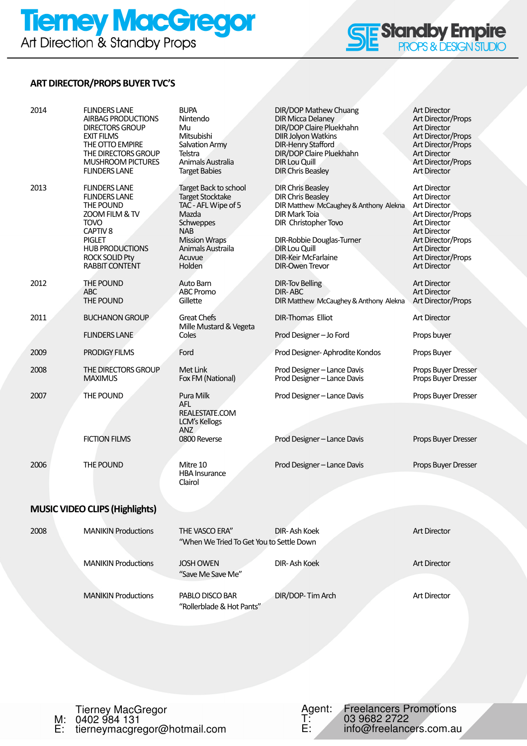# **Tiemey MacGregor**<br>Art Direction & Standby Props



## ART DIRECTOR/PROPS BUYER TVC'S

| 2014 | <b>FLINDERS LANE</b><br>AIRBAG PRODUCTIONS<br><b>DIRECTORS GROUP</b><br><b>EXIT FILMS</b><br>THE OTTO EMPIRE<br>THE DIRECTORS GROUP<br><b>MUSHROOM PICTURES</b><br><b>FLINDERS LANE</b>                 | <b>BUPA</b><br>Nintendo<br>Mu<br>Mitsubishi<br>Salvation Army<br>Telstra<br>Animals Australia<br><b>Target Babies</b>                                                               | DIR/DOP Mathew Chuang<br><b>DIR Micca Delaney</b><br>DIR/DOP Claire Pluekhahn<br><b>DIIR Jolyon Watkins</b><br><b>DIR-Henry Stafford</b><br>DIR/DOP Claire Pluekhahn<br><b>DIR Lou Quill</b><br><b>DIR Chris Beasley</b>                                    | <b>Art Director</b><br>Art Director/Props<br><b>Art Director</b><br>Art Director/Props<br>Art Director/Props<br><b>Art Director</b><br>Art Director/Props<br><b>Art Director</b>                                                |
|------|---------------------------------------------------------------------------------------------------------------------------------------------------------------------------------------------------------|-------------------------------------------------------------------------------------------------------------------------------------------------------------------------------------|-------------------------------------------------------------------------------------------------------------------------------------------------------------------------------------------------------------------------------------------------------------|---------------------------------------------------------------------------------------------------------------------------------------------------------------------------------------------------------------------------------|
| 2013 | <b>FLINDERS LANE</b><br><b>FLINDERS LANE</b><br>THE POUND<br>ZOOM FILM & TV<br><b>TOVO</b><br>CAPTIV <sub>8</sub><br>PIGLET<br><b>HUB PRODUCTIONS</b><br><b>ROCK SOLID Pty</b><br><b>RABBIT CONTENT</b> | Target Back to school<br><b>Target Stocktake</b><br>TAC - AFL Wipe of 5<br>Mazda<br><b>Schweppes</b><br><b>NAB</b><br><b>Mission Wraps</b><br>Animals Austraila<br>Acuvue<br>Holden | <b>DIR Chris Beasley</b><br><b>DIR Chris Beasley</b><br>DIR Matthew McCaughey & Anthony Alekna<br><b>DIR Mark Toia</b><br>DIR Christopher Tovo<br>DIR-Robbie Douglas-Turner<br><b>DIR Lou Quill</b><br><b>DIR-Keir McFarlaine</b><br><b>DIR-Owen Trevor</b> | <b>Art Director</b><br><b>Art Director</b><br><b>Art Director</b><br>Art Director/Props<br><b>Art Director</b><br><b>Art Director</b><br>Art Director/Props<br><b>Art Director</b><br>Art Director/Props<br><b>Art Director</b> |
| 2012 | THE POUND<br>ABC<br>THE POUND                                                                                                                                                                           | Auto Barn<br><b>ABC Promo</b><br>Gillette                                                                                                                                           | <b>DIR-Tov Belling</b><br><b>DIR-ABC</b><br>DIR Matthew McCaughey & Anthony Alekna                                                                                                                                                                          | <b>Art Director</b><br><b>Art Director</b><br>Art Director/Props                                                                                                                                                                |
| 2011 | <b>BUCHANON GROUP</b>                                                                                                                                                                                   | <b>Great Chefs</b>                                                                                                                                                                  | <b>DIR-Thomas Elliot</b>                                                                                                                                                                                                                                    | <b>Art Director</b>                                                                                                                                                                                                             |
|      | <b>FLINDERS LANE</b>                                                                                                                                                                                    | Mille Mustard & Vegeta<br>Coles                                                                                                                                                     | Prod Designer - Jo Ford                                                                                                                                                                                                                                     | Props buyer                                                                                                                                                                                                                     |
| 2009 | <b>PRODIGY FILMS</b>                                                                                                                                                                                    | Ford                                                                                                                                                                                | Prod Designer-Aphrodite Kondos                                                                                                                                                                                                                              | Props Buyer                                                                                                                                                                                                                     |
| 2008 | THE DIRECTORS GROUP<br><b>MAXIMUS</b>                                                                                                                                                                   | Met Link<br>Fox FM (National)                                                                                                                                                       | Prod Designer - Lance Davis<br>Prod Designer - Lance Davis                                                                                                                                                                                                  | Props Buyer Dresser<br>Props Buyer Dresser                                                                                                                                                                                      |
| 2007 | THE POUND<br><b>FICTION FILMS</b>                                                                                                                                                                       | Pura Milk<br>AFL.<br>REALESTATE.COM<br>LCM's Kellogs<br><b>ANZ</b><br>0800 Reverse                                                                                                  | Prod Designer - Lance Davis                                                                                                                                                                                                                                 | Props Buyer Dresser                                                                                                                                                                                                             |
|      |                                                                                                                                                                                                         |                                                                                                                                                                                     | Prod Designer - Lance Davis                                                                                                                                                                                                                                 | Props Buyer Dresser                                                                                                                                                                                                             |
| 2006 | THE POUND                                                                                                                                                                                               | Mitre 10<br><b>HBA Insurance</b><br>Clairol                                                                                                                                         | Prod Designer - Lance Davis                                                                                                                                                                                                                                 | Props Buyer Dresser                                                                                                                                                                                                             |
|      | <b>MUSIC VIDEO CLIPS (Highlights)</b>                                                                                                                                                                   |                                                                                                                                                                                     |                                                                                                                                                                                                                                                             |                                                                                                                                                                                                                                 |
|      |                                                                                                                                                                                                         |                                                                                                                                                                                     |                                                                                                                                                                                                                                                             |                                                                                                                                                                                                                                 |
| 2008 | <b>MANIKIN Productions</b>                                                                                                                                                                              | THE VASCO ERA"<br>"When We Tried To Get You to Settle Down                                                                                                                          | DIR-Ash Koek                                                                                                                                                                                                                                                | <b>Art Director</b>                                                                                                                                                                                                             |
|      | <b>MANIKIN Productions</b>                                                                                                                                                                              | <b>JOSH OWEN</b><br>"Save Me Save Me"                                                                                                                                               | DIR-Ash Koek                                                                                                                                                                                                                                                | <b>Art Director</b>                                                                                                                                                                                                             |
|      | <b>MANIKIN Productions</b>                                                                                                                                                                              | PABLO DISCO BAR<br>"Rollerblade & Hot Pants"                                                                                                                                        | DIR/DOP-Tim Arch                                                                                                                                                                                                                                            | <b>Art Director</b>                                                                                                                                                                                                             |
|      |                                                                                                                                                                                                         |                                                                                                                                                                                     |                                                                                                                                                                                                                                                             |                                                                                                                                                                                                                                 |

Tierney MacGregor M: 0402 984 131 E: tierneymacgregor@hotmail.com Agent: Freelancers Promotions T: 03 9682 2722 E: info@freelancers.com.au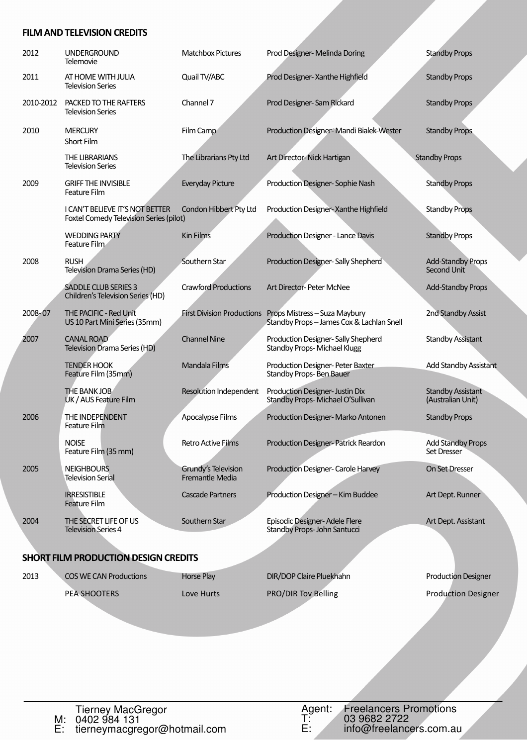#### FILM AND TELEVISION CREDITS

| 2012      | <b>UNDERGROUND</b><br>Telemovie                                            | <b>Matchbox Pictures</b>               | Prod Designer- Melinda Doring                                                                       | <b>Standby Props</b>                          |
|-----------|----------------------------------------------------------------------------|----------------------------------------|-----------------------------------------------------------------------------------------------------|-----------------------------------------------|
| 2011      | AT HOME WITH JULIA<br><b>Television Series</b>                             | Quail TV/ABC                           | Prod Designer- Xanthe Highfield                                                                     | <b>Standby Props</b>                          |
| 2010-2012 | PACKED TO THE RAFTERS<br><b>Television Series</b>                          | Channel 7                              | Prod Designer-Sam Rickard                                                                           | <b>Standby Props</b>                          |
| 2010      | <b>MERCURY</b><br>Short Film                                               | Film Camp                              | Production Designer-Mandi Bialek-Wester                                                             | <b>Standby Props</b>                          |
|           | THE LIBRARIANS<br><b>Television Series</b>                                 | The Librarians Pty Ltd                 | Art Director-Nick Hartigan                                                                          | <b>Standby Props</b>                          |
| 2009      | <b>GRIFF THE INVISIBLE</b><br><b>Feature Film</b>                          | Everyday Picture                       | Production Designer-Sophie Nash                                                                     | <b>Standby Props</b>                          |
|           | I CAN'T BELIEVE IT'S NOT BETTER<br>Foxtel Comedy Television Series (pilot) | Condon Hibbert Pty Ltd                 | Production Designer- Xanthe Highfield                                                               | <b>Standby Props</b>                          |
|           | <b>WEDDING PARTY</b><br>Feature Film                                       | <b>Kin Films</b>                       | Production Designer - Lance Davis                                                                   | <b>Standby Props</b>                          |
| 2008      | <b>RUSH</b><br>Television Drama Series (HD)                                | Southern Star                          | Production Designer- Sally Shepherd                                                                 | <b>Add-Standby Props</b><br>Second Unit       |
|           | <b>SADDLE CLUB SERIES 3</b><br>Children's Television Series (HD)           | <b>Crawford Productions</b>            | Art Director- Peter McNee                                                                           | <b>Add-Standby Props</b>                      |
| 2008-07   | THE PACIFIC - Red Unit<br>US 10 Part Mini Series (35mm)                    |                                        | First Division Productions Props Mistress - Suza Maybury<br>Standby Props-James Cox & Lachlan Snell | 2nd Standby Assist                            |
| 2007      | <b>CANAL ROAD</b><br>Television Drama Series (HD)                          | <b>Channel Nine</b>                    | Production Designer- Sally Shepherd<br><b>Standby Props-Michael Klugg</b>                           | <b>Standby Assistant</b>                      |
|           | <b>TENDER HOOK</b><br>Feature Film (35mm)                                  | Mandala Films                          | Production Designer- Peter Baxter<br>Standby Props-Ben Bauer                                        | Add Standby Assistant                         |
|           | <b>THE BANK JOB</b><br>UK / AUS Feature Film                               | Resolution Independent                 | Production Designer- Justin Dix<br>Standby Props-Michael O'Sullivan                                 | <b>Standby Assistant</b><br>(Australian Unit) |
| 2006      | THE INDEPENDENT<br><b>Feature Film</b>                                     | Apocalypse Films                       | Production Designer-Marko Antonen                                                                   | <b>Standby Props</b>                          |
|           | <b>NOISE</b><br>Feature Film (35 mm)                                       | <b>Retro Active Films</b>              | Production Designer-Patrick Reardon                                                                 | <b>Add Standby Props</b><br>Set Dresser       |
| 2005      | <b>NEIGHBOURS</b><br><b>Television Serial</b>                              | Grundy's Television<br>Fremantle Media | Production Designer- Carole Harvey                                                                  | On Set Dresser                                |
|           | <b>IRRESISTIBLE</b><br>Feature Film                                        | <b>Cascade Partners</b>                | Production Designer - Kim Buddee                                                                    | Art Dept. Runner                              |
| 2004      | THE SECRET LIFE OF US<br><b>Television Series 4</b>                        | Southern Star                          | Episodic Designer-Adele Flere<br>Standby Props- John Santucci                                       | Art Dept. Assistant                           |
|           |                                                                            |                                        |                                                                                                     |                                               |

## SHORT FILM PRODUCTION DESIGN CREDITS

2013 COS WE CAN Productions Horse Play Bir Albert DIR/DOP Claire Pluekhahn Production Designer PEA SHOOTERS Love Hurts PRO/DIR Tov Belling Production Designer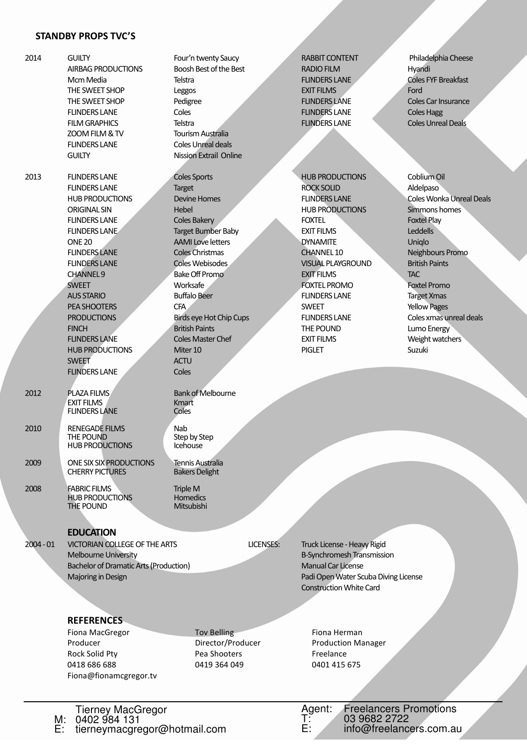### STANDBY PROPS TVC'S

| 2014                                                                                                                                                            | <b>GUILTY</b><br><b>AIRBAG PRODUCTIONS</b><br>Mcm Media<br>THE SWEET SHOP<br>THE SWEET SHOP<br><b>FLINDERS LANE</b><br><b>FILM GRAPHICS</b><br>ZOOM FILM & TV<br><b>FLINDERS LANE</b><br><b>GUILTY</b>                                                                                                                                                                                                                 | Four'n twenty Saucy<br>Boosh Best of the Best<br>Telstra<br>Leggos<br>Pedigree<br>Coles<br>Telstra<br><b>Tourism Australia</b><br><b>Coles Unreal deals</b><br><b>Nission Extrail Online</b>                                                                                                                                                                                                    |                  | <b>RABBIT CONTENT</b><br><b>RADIO FILM</b><br><b>FLINDERS LANE</b><br><b>EXIT FILMS</b><br><b>FLINDERS LANE</b><br><b>FLINDERS LANE</b><br><b>FLINDERS LANE</b>                                                                                                                                                                                                 | Philadelphia Cheese<br>Hyandi<br><b>Coles FYF Breakfast</b><br>Ford<br>Coles Car Insurance<br><b>Coles Hagg</b><br><b>Coles Unreal Deals</b>                                                                                                                                                                                   |
|-----------------------------------------------------------------------------------------------------------------------------------------------------------------|------------------------------------------------------------------------------------------------------------------------------------------------------------------------------------------------------------------------------------------------------------------------------------------------------------------------------------------------------------------------------------------------------------------------|-------------------------------------------------------------------------------------------------------------------------------------------------------------------------------------------------------------------------------------------------------------------------------------------------------------------------------------------------------------------------------------------------|------------------|-----------------------------------------------------------------------------------------------------------------------------------------------------------------------------------------------------------------------------------------------------------------------------------------------------------------------------------------------------------------|--------------------------------------------------------------------------------------------------------------------------------------------------------------------------------------------------------------------------------------------------------------------------------------------------------------------------------|
| 2013                                                                                                                                                            | <b>FLINDERS LANE</b><br><b>FLINDERS LANE</b><br><b>HUB PRODUCTIONS</b><br><b>ORIGINAL SIN</b><br><b>FLINDERS LANE</b><br><b>FLINDERS LANE</b><br><b>ONE 20</b><br><b>FLINDERS LANE</b><br><b>FLINDERS LANE</b><br><b>CHANNEL9</b><br><b>SWEET</b><br><b>AUS STARIO</b><br>PEA SHOOTERS<br><b>PRODUCTIONS</b><br><b>FINCH</b><br><b>FLINDERS LANE</b><br><b>HUB PRODUCTIONS</b><br><b>SWEET</b><br><b>FLINDERS LANE</b> | <b>Coles Sports</b><br><b>Target</b><br><b>Devine Homes</b><br>Hebel<br><b>Coles Bakery</b><br><b>Target Bumber Baby</b><br><b>AAMI Love letters</b><br><b>Coles Christmas</b><br>Coles Webisodes<br><b>Bake Off Promo</b><br>Worksafe<br><b>Buffalo Beer</b><br>CFA<br><b>Birds eye Hot Chip Cups</b><br><b>British Paints</b><br><b>Coles Master Chef</b><br>Miter 10<br><b>ACTU</b><br>Coles |                  | <b>HUB PRODUCTIONS</b><br><b>ROCK SOLID</b><br><b>FLINDERS LANE</b><br><b>HUB PRODUCTIONS</b><br><b>FOXTEL</b><br><b>EXIT FILMS</b><br><b>DYNAMITE</b><br><b>CHANNEL 10</b><br>VISUAL PLAYGROUND<br><b>EXIT FILMS</b><br><b>FOXTEL PROMO</b><br><b>FLINDERS LANE</b><br><b>SWEET</b><br><b>FLINDERS LANE</b><br>THE POUND<br><b>EXIT FILMS</b><br><b>PIGLET</b> | Coblium Oil<br>Aldelpaso<br><b>Coles Wonka Unreal Deals</b><br>Simmons homes<br><b>Foxtel Play</b><br>Leddells<br>Uniqlo<br>Neighbours Promo<br><b>British Paints</b><br><b>TAC</b><br><b>Foxtel Promo</b><br><b>Target Xmas</b><br><b>Yellow Pages</b><br>Coles xmas unreal deals<br>Lumo Energy<br>Weight watchers<br>Suzuki |
| 2012                                                                                                                                                            | PLAZA FILMS<br><b>EXIT FILMS</b><br><b>FLINDERS LANE</b>                                                                                                                                                                                                                                                                                                                                                               | <b>Bank of Melbourne</b><br>Kmart<br>Coles                                                                                                                                                                                                                                                                                                                                                      |                  |                                                                                                                                                                                                                                                                                                                                                                 |                                                                                                                                                                                                                                                                                                                                |
| 2010                                                                                                                                                            | <b>RENEGADE FILMS</b><br>THE POUND<br><b>HUB PRODUCTIONS</b>                                                                                                                                                                                                                                                                                                                                                           | Nab<br>Step by Step<br>Icehouse                                                                                                                                                                                                                                                                                                                                                                 |                  |                                                                                                                                                                                                                                                                                                                                                                 |                                                                                                                                                                                                                                                                                                                                |
| 2009                                                                                                                                                            | ONE SIX SIX PRODUCTIONS<br><b>CHERRY PICTURES</b>                                                                                                                                                                                                                                                                                                                                                                      | <b>Tennis Australia</b><br><b>Bakers Delight</b>                                                                                                                                                                                                                                                                                                                                                |                  |                                                                                                                                                                                                                                                                                                                                                                 |                                                                                                                                                                                                                                                                                                                                |
| 2008                                                                                                                                                            | <b>FABRIC FILMS</b><br><b>HUB PRODUCTIONS</b><br>THE POUND                                                                                                                                                                                                                                                                                                                                                             | Triple M<br><b>Homedics</b><br>Mitsubishi                                                                                                                                                                                                                                                                                                                                                       |                  |                                                                                                                                                                                                                                                                                                                                                                 |                                                                                                                                                                                                                                                                                                                                |
| <b>EDUCATION</b><br>$2004 - 01$<br>VICTORIAN COLLEGE OF THE ARTS<br>Melbourne University<br><b>Bachelor of Dramatic Arts (Production)</b><br>Majoring in Design |                                                                                                                                                                                                                                                                                                                                                                                                                        |                                                                                                                                                                                                                                                                                                                                                                                                 | <b>LICENSES:</b> | Truck License - Heavy Rigid<br>B-Synchromesh Transmission<br><b>Manual Car License</b><br>Padi Open Water Scuba Diving License<br><b>Construction White Card</b>                                                                                                                                                                                                |                                                                                                                                                                                                                                                                                                                                |
|                                                                                                                                                                 | <b>REFERENCES</b><br>Fiona MacGregor                                                                                                                                                                                                                                                                                                                                                                                   | <b>Tov Belling</b>                                                                                                                                                                                                                                                                                                                                                                              |                  | Fiona Herman                                                                                                                                                                                                                                                                                                                                                    |                                                                                                                                                                                                                                                                                                                                |

Producer **Director/Producer** Production Manager Rock Solid Pty **Pea Shooters** Pearshooters Freelance 0418 686 688 0419 364 049 0401 415 675 Fiona@fionamcgregor.tv

Tierney MacGregor

M: 0402 984 131<br>E: tierneymacgregor@hotmail.com

M: 0402 984 131

Agent: Freelancers Promotions T: 03 9682 2722 E: info@freelancers.com.au